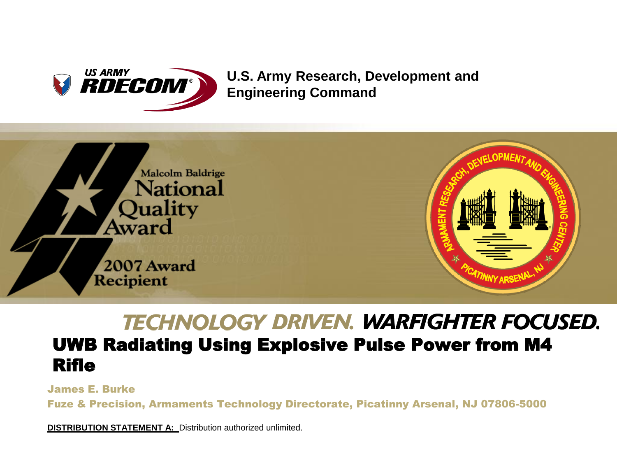

#### **U.S. Army Research, Development and Engineering Command**



## **TECHNOLOGY DRIVEN. WARFIGHTER FOCUSED.**

#### UWB Radiating Using Explosive Pulse Power from M4 Rifle

James E. Burke

Fuze & Precision, Armaments Technology Directorate, Picatinny Arsenal, NJ 07806-5000

**DISTRIBUTION STATEMENT A:** Distribution authorized unlimited.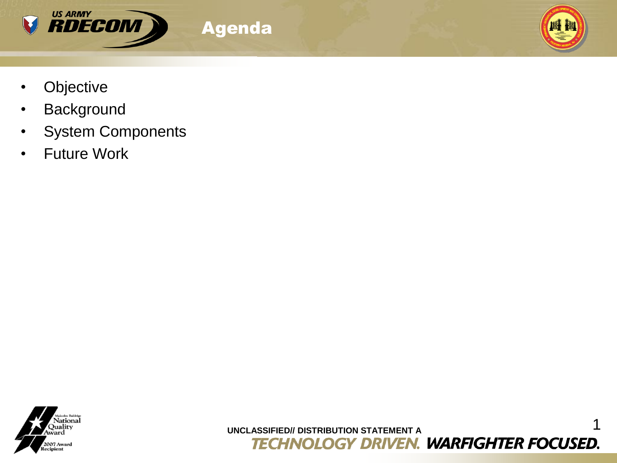

Agenda



- Objective
- Background
- System Components
- Future Work



**UNCLASSIFIED// DISTRIBUTION STATEMENT A**<br> **TECHNOLOGY DRIVEN. WARFIGHTER FOCUSED.**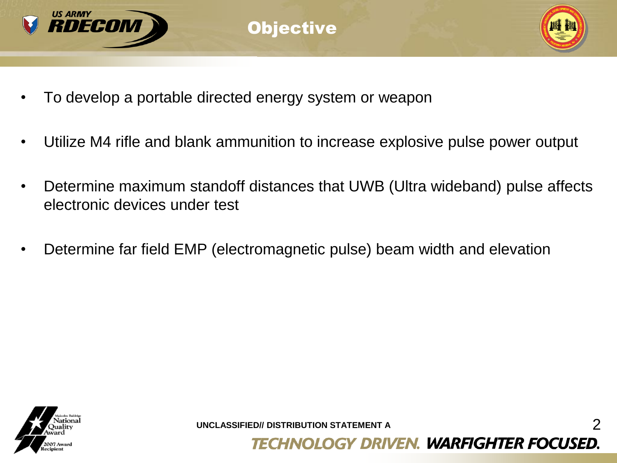

- To develop a portable directed energy system or weapon
- Utilize M4 rifle and blank ammunition to increase explosive pulse power output
- Determine maximum standoff distances that UWB (Ultra wideband) pulse affects electronic devices under test
- Determine far field EMP (electromagnetic pulse) beam width and elevation



**UNCLASSIFIED// DISTRIBUTION STATEMENT A** 2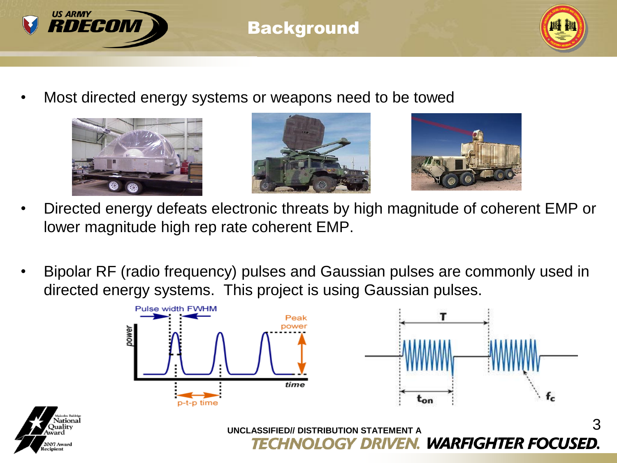

07 Award

#### **Background**



• Most directed energy systems or weapons need to be towed







- Directed energy defeats electronic threats by high magnitude of coherent EMP or lower magnitude high rep rate coherent EMP.
- Bipolar RF (radio frequency) pulses and Gaussian pulses are commonly used in directed energy systems. This project is using Gaussian pulses.

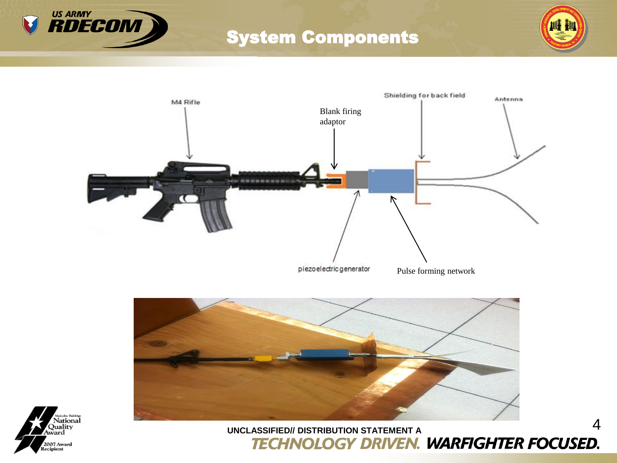

### System Components









# UNCLASSIFIED// DISTRIBUTION STATEMENT A<br> **TECHNOLOGY DRIVEN. WARFIGHTER FOCUSED.**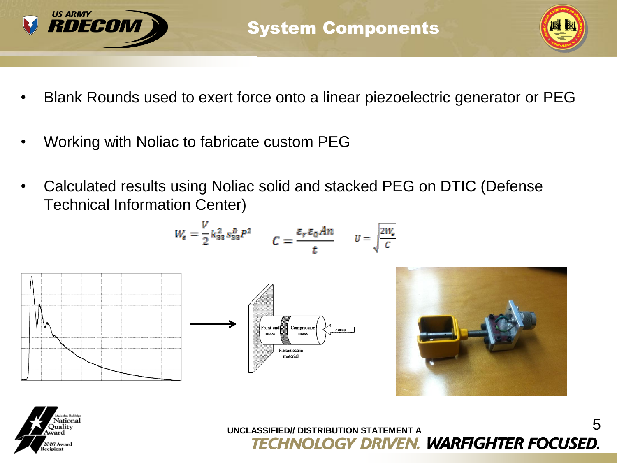



- Blank Rounds used to exert force onto a linear piezoelectric generator or PEG
- Working with Noliac to fabricate custom PEG

v

• Calculated results using Noliac solid and stacked PEG on DTIC (Defense Technical Information Center)

$$
W_{e} = \frac{1}{2}k_{33}^{2} s_{33}^{2} P^{2}
$$
  

$$
C = \frac{\varepsilon_{r} \varepsilon_{0} An}{t}
$$
  

$$
U = \sqrt{\frac{2W_{e}}{C}}
$$

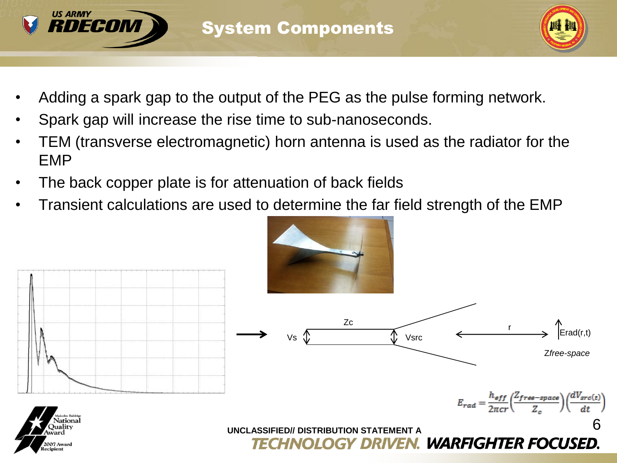



- Adding a spark gap to the output of the PEG as the pulse forming network.
- Spark gap will increase the rise time to sub-nanoseconds.
- TEM (transverse electromagnetic) horn antenna is used as the radiator for the EMP
- The back copper plate is for attenuation of back fields
- Transient calculations are used to determine the far field strength of the EMP

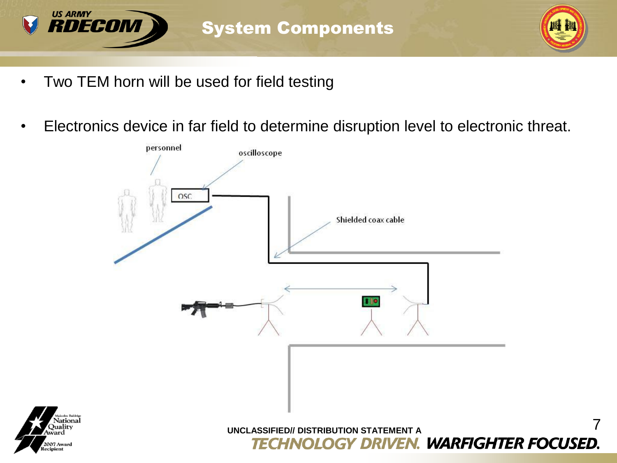

ational **)**ualitv

2007 Award cipient



- Two TEM horn will be used for field testing
- Electronics device in far field to determine disruption level to electronic threat.